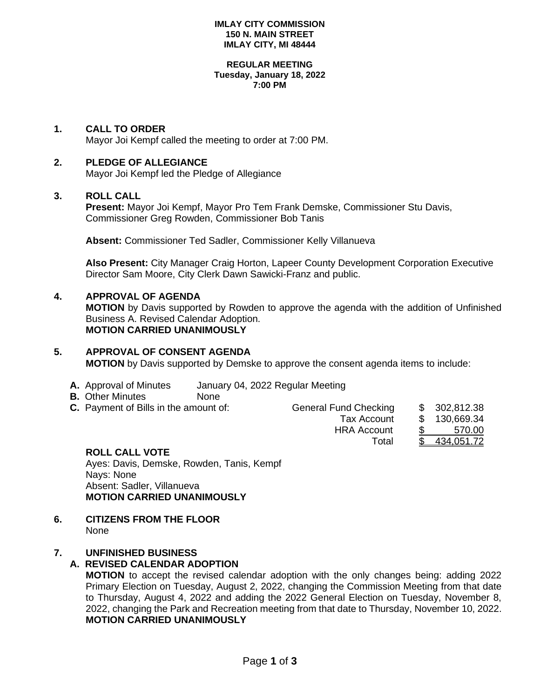#### **IMLAY CITY COMMISSION 150 N. MAIN STREET IMLAY CITY, MI 48444**

#### **REGULAR MEETING Tuesday, January 18, 2022 7:00 PM**

# **1. CALL TO ORDER**

Mayor Joi Kempf called the meeting to order at 7:00 PM.

## **2. PLEDGE OF ALLEGIANCE**

Mayor Joi Kempf led the Pledge of Allegiance

## **3. ROLL CALL**

**Present:** Mayor Joi Kempf, Mayor Pro Tem Frank Demske, Commissioner Stu Davis, Commissioner Greg Rowden, Commissioner Bob Tanis

**Absent:** Commissioner Ted Sadler, Commissioner Kelly Villanueva

**Also Present:** City Manager Craig Horton, Lapeer County Development Corporation Executive Director Sam Moore, City Clerk Dawn Sawicki-Franz and public.

## **4. APPROVAL OF AGENDA**

**MOTION** by Davis supported by Rowden to approve the agenda with the addition of Unfinished Business A. Revised Calendar Adoption. **MOTION CARRIED UNANIMOUSLY**

# **5. APPROVAL OF CONSENT AGENDA**

**MOTION** by Davis supported by Demske to approve the consent agenda items to include:

- **A.** Approval of Minutes January 04, 2022 Regular Meeting
- **B.** Other Minutes None
- **C.** Payment of Bills in the amount of:

|               | 302,812.38    |
|---------------|---------------|
| $\mathcal{S}$ | 130,669.34    |
| \$.           | 570.00        |
|               | 434,051.72    |
|               | $\mathcal{S}$ |

# **ROLL CALL VOTE**

Ayes: Davis, Demske, Rowden, Tanis, Kempf Nays: None Absent: Sadler, Villanueva **MOTION CARRIED UNANIMOUSLY**

#### **6. CITIZENS FROM THE FLOOR** None

# **7. UNFINISHED BUSINESS**

# **A. REVISED CALENDAR ADOPTION**

**MOTION** to accept the revised calendar adoption with the only changes being: adding 2022 Primary Election on Tuesday, August 2, 2022, changing the Commission Meeting from that date to Thursday, August 4, 2022 and adding the 2022 General Election on Tuesday, November 8, 2022, changing the Park and Recreation meeting from that date to Thursday, November 10, 2022. **MOTION CARRIED UNANIMOUSLY**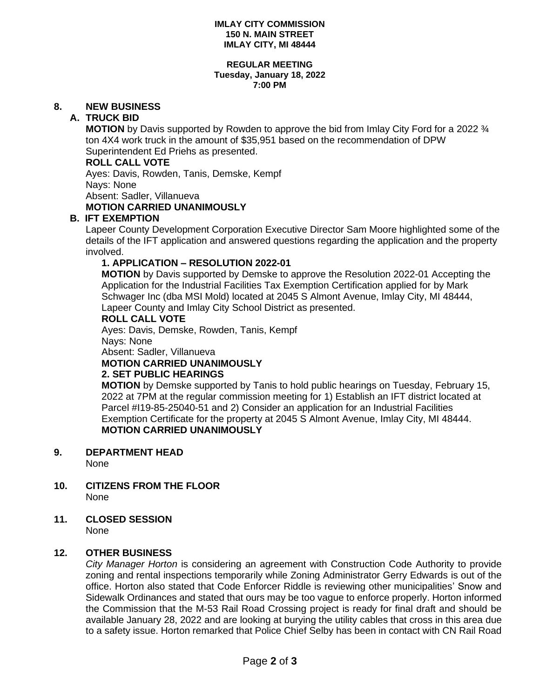#### **IMLAY CITY COMMISSION 150 N. MAIN STREET IMLAY CITY, MI 48444**

#### **REGULAR MEETING Tuesday, January 18, 2022 7:00 PM**

# **8. NEW BUSINESS**

# **A. TRUCK BID**

**MOTION** by Davis supported by Rowden to approve the bid from Imlay City Ford for a 2022 ¾ ton 4X4 work truck in the amount of \$35,951 based on the recommendation of DPW Superintendent Ed Priehs as presented.

# **ROLL CALL VOTE**

Ayes: Davis, Rowden, Tanis, Demske, Kempf Nays: None Absent: Sadler, Villanueva **MOTION CARRIED UNANIMOUSLY**

## **B. IFT EXEMPTION**

Lapeer County Development Corporation Executive Director Sam Moore highlighted some of the details of the IFT application and answered questions regarding the application and the property involved.

# **1. APPLICATION – RESOLUTION 2022-01**

**MOTION** by Davis supported by Demske to approve the Resolution 2022-01 Accepting the Application for the Industrial Facilities Tax Exemption Certification applied for by Mark Schwager Inc (dba MSI Mold) located at 2045 S Almont Avenue, Imlay City, MI 48444, Lapeer County and Imlay City School District as presented.

#### **ROLL CALL VOTE**

Ayes: Davis, Demske, Rowden, Tanis, Kempf Nays: None Absent: Sadler, Villanueva

**MOTION CARRIED UNANIMOUSLY**

## **2. SET PUBLIC HEARINGS**

**MOTION** by Demske supported by Tanis to hold public hearings on Tuesday, February 15, 2022 at 7PM at the regular commission meeting for 1) Establish an IFT district located at Parcel #I19-85-25040-51 and 2) Consider an application for an Industrial Facilities Exemption Certificate for the property at 2045 S Almont Avenue, Imlay City, MI 48444. **MOTION CARRIED UNANIMOUSLY**

## **9. DEPARTMENT HEAD**

None

**10. CITIZENS FROM THE FLOOR** None

# **11. CLOSED SESSION**

None

## **12. OTHER BUSINESS**

*City Manager Horton* is considering an agreement with Construction Code Authority to provide zoning and rental inspections temporarily while Zoning Administrator Gerry Edwards is out of the office. Horton also stated that Code Enforcer Riddle is reviewing other municipalities' Snow and Sidewalk Ordinances and stated that ours may be too vague to enforce properly. Horton informed the Commission that the M-53 Rail Road Crossing project is ready for final draft and should be available January 28, 2022 and are looking at burying the utility cables that cross in this area due to a safety issue. Horton remarked that Police Chief Selby has been in contact with CN Rail Road